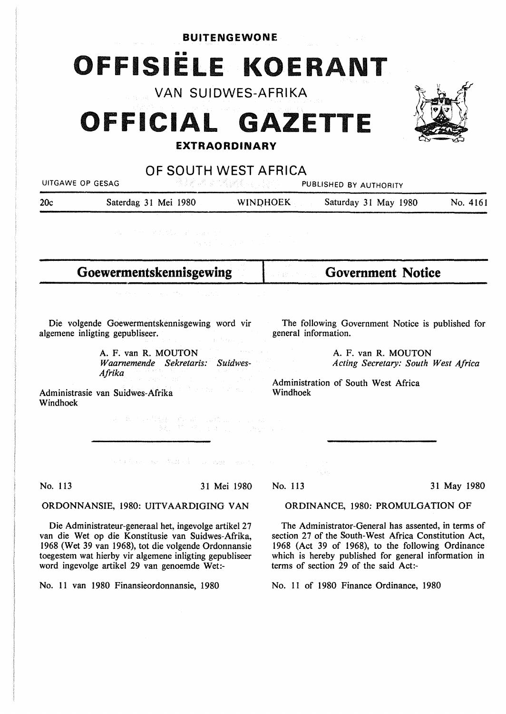## **BUITENGEWONE**

•• **OFFISIELE KOERANT** 

**VAN SUIDWES-AFRIKA** 

# **OFFICIAL GAZETTE EXTRAORDINARY**



**OF SOUTH WEST AFRICA** 

UITGAWE OP GESAG PUBLISHED BY AUTHORITY

20c Saterdag 31 Mei 1980 WINQHOEK Saturday 31 May 1980 No. 4161

**Goewermentskennisgewing** 

**Government Notice** 

Die volgende Goewermentskennisgewing word vir algemene inligting gepubliseer.

> A. F. van R. MOUTON *Waarnemende Sekretaris: Suidwes-Afrika*

The following Government Notice is published for general information.

> A. F. van **R. MOUTON**  *Acting Secretary: South West Africa*

Administration of South West Africa Windhoek

Administrasie van Suidwes-Afrika Windhoek

Algorithm of an elli

 $\begin{split} \mathcal{F}^{(1)}_{\text{c}} & \times \mathcal{F}^{(2)}_{\text{c}} \left( \frac{1}{2} \mathcal{E}^{(1)}_{\text{c}} - \mathcal{E}^{(1)}_{\text{c}} \right) \left( \frac{1}{2} \mathcal{E}^{(1)}_{\text{c}} \right) \left( \frac{1}{2} \mathcal{E}^{(1)}_{\text{c}} - \mathcal{E}^{(1)}_{\text{c}} \right) \left( \frac{1}{2} \mathcal{E}^{(1)}_{\text{c}} - \mathcal{E}^{(1)}_{\text{c}} \right) \left( \frac{1}{2} \mathcal$ 

No. 113 31 Mei 1980

## ORDINANCE, 1980: PROMULGATION OF

The Administrator-General has assented, in terms of section 27 of the South-West Africa Constitution Act, 1968 (Act 39 of 1968), to the following Ordinance which is hereby published for general information in terms of section 29 of the said Act:-

No. 11 of 1980 Finance Ordinance, 1980

We find the second second field  $\mathcal{E}^{\mathcal{X}}_{\mathcal{X}}$  , and  $\mathcal{E}_{\mathcal{X}}$  , where  $\mathcal{E}_{\mathcal{X}}$ 

## ORDONNANSIE, 1980: UITVAARDIGING VAN

Die Administrateur-generaal het, ingevolge artikel 27 van die Wet op die Konstitusie van Suidwes-Afrika, 1968 (Wet 39 van 1968), tot die volgende Ordonnansie toegestem wat hierby vir algemene inligting gepubliseer word ingevolge artikel 29 van genoemde Wet:-

No. 11 van 1980 Finansieordonnansie, 1980

## No. 113 31 May 1980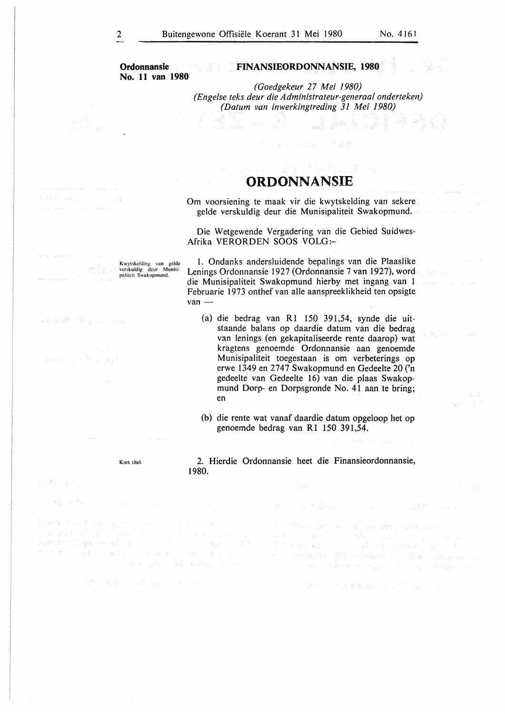**Ordonnansie No. 11 van 1980** 

K wytskclding van gcldc vcrskuklig dcur Munisi• palitcit Swakopmund.

## **FINANSIEORDONNANSIE, 1980**

*(Goedgekeur 27 Mei 1980) (Engelse teks deur die Administrateur-generaal onderteken) (Datum van inwerkingtreding 31 Mei 1980)* 

e international

## **ORDONNANSIE**

Om voorsiening te maak vir die kwytskelding van sekere gelde verskuldig deur die Munisipaliteit Swakopmund.

Die Wetgewende Vergadering van die Gebied Suidwes-Afrika VERORDEN SOOS VOLG:-

1. Ondanks andersluidende bepalings van die Plaaslike Lenings Ordonnansie 1927 (Ordonnansie 7 van 1927), word die Munisipaliteit Swakopmund hierby met ingang van I Februarie 1973 onthef van alle aanspreeklikheid ten opsigte van -

- (a) die bedrag van R1 150 391,54, synde die uitstaande balans op daardie datum van die bedrag van lenings (en gekapitaliseerde rente daarop) wat kragtens genoemde Ordonnansie aan genoemde Munisipaliteit toegestaan is om verbeterings op erwe 1349 en 2747 Swakopmund en Gedeelte 20 ('n gedeelte van Gedeelte 16) van die plaas Swakopmund Dorp- en Dorpsgronde No. 41 aan te bring; en
- (b) die rente wat vanaf daardie datum opgeloop het op genoemde bedrag van **Rl** 150 391,54.

Kort titcl.

2. Hierdie Ordonnansie heet die Finansieordonnansie, 1980.

te Ry Lawre

PATE STATE

who hadden that could

残っ スイムー

wana terlingga masali ber man the control power problems dependence of a linear

a President State of Character and Nation

A starking countries to the equivalence of

ARM Control and was served to the color.

itheach ngan<br>Tagaman

**Samuel Co**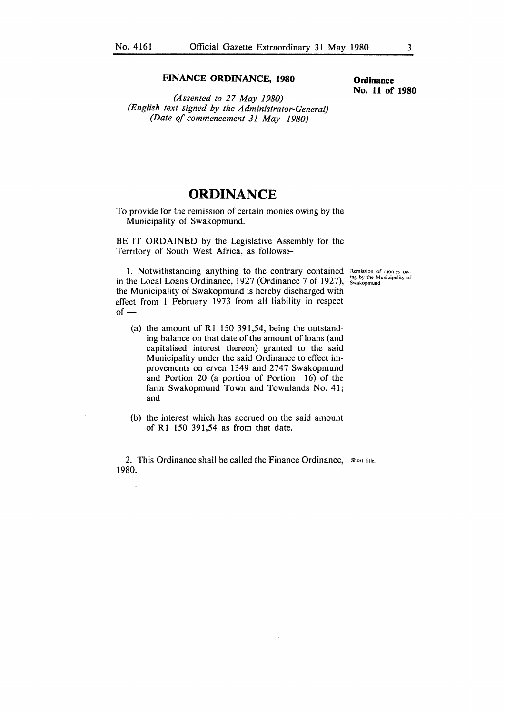### **FINANCE ORDINANCE, 1980**

*(Assented to 27 May 1980) (English text signed by the Administrator-General) (Date of commencement 31 May 1980)* 

**Ordinance No. 11 of 1980** 

## **ORDINANCE**

To provide for the remission of certain monies owing by the Municipality of Swakopmund.

BE IT ORDAINED by the Legislative Assembly for the Territory of South West Africa, as follows:-

1. Notwithstanding anything to the contrary contained in the Local Loans Ordinance, 1927 (Ordinance 7 of 1927), the Municipality of Swakopmund is hereby discharged with effect from l February 1973 from all liability in respect  $of-$ 

- (a) the amount of R1 150 391,54, being the outstanding balance on that date of the amount of loans (and capitalised interest thereon) granted to the said Municipality under the said Ordinance to effect improvements on erven 1349 and 2747 Swakopmund and Portion 20 (a portion of Portion 16) of the farm Swakopmund Town and Townlands No. 41; and
- (b) the interest which has accrued on the said amount of R1 150 391,54 as from that date.

2. This Ordinance shall be called the Finance Ordinance, Short title. 1980.

**Remission of monies ow-**ing by the Municipality of Swakopmund.